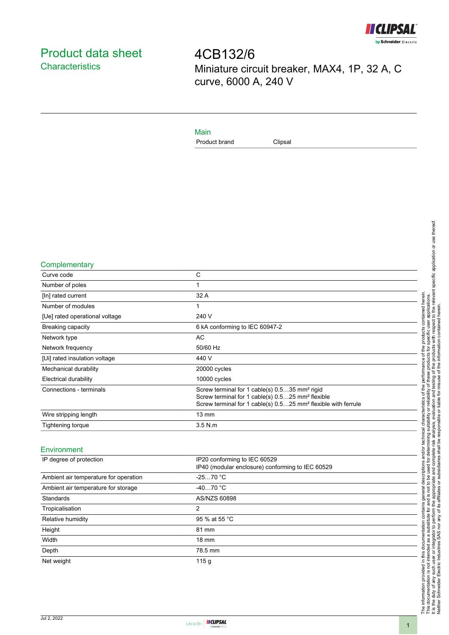

# <span id="page-0-0"></span>Product data sheet **Characteristics**

4CB132/6 Miniature circuit breaker, MAX4, 1P, 32 A, C curve, 6000 A, 240 V

### Main

Product brand Clipsal

#### **Complementary**

| Curve code                     | C                                                                                                                                                                                                      |
|--------------------------------|--------------------------------------------------------------------------------------------------------------------------------------------------------------------------------------------------------|
| Number of poles                | 1                                                                                                                                                                                                      |
| [In] rated current             | 32 A                                                                                                                                                                                                   |
| Number of modules              |                                                                                                                                                                                                        |
| [Ue] rated operational voltage | 240 V                                                                                                                                                                                                  |
| Breaking capacity              | 6 kA conforming to IEC 60947-2                                                                                                                                                                         |
| Network type                   | AC                                                                                                                                                                                                     |
| Network frequency              | 50/60 Hz                                                                                                                                                                                               |
| [Ui] rated insulation voltage  | 440 V                                                                                                                                                                                                  |
| Mechanical durability          | 20000 cycles                                                                                                                                                                                           |
| Electrical durability          | 10000 cycles                                                                                                                                                                                           |
| Connections - terminals        | Screw terminal for 1 cable(s) 0.535 mm <sup>2</sup> rigid<br>Screw terminal for 1 cable(s) 0.525 mm <sup>2</sup> flexible<br>Screw terminal for 1 cable(s) 0.525 mm <sup>2</sup> flexible with ferrule |
| Wire stripping length          | $13 \text{ mm}$                                                                                                                                                                                        |
| Tightening torque              | $3.5$ N.m.                                                                                                                                                                                             |

#### Environment

| IP degree of protection               | IP20 conforming to IEC 60529<br>IP40 (modular enclosure) conforming to IEC 60529 |
|---------------------------------------|----------------------------------------------------------------------------------|
| Ambient air temperature for operation | $-2570 °C$                                                                       |
| Ambient air temperature for storage   | $-4070 °C$                                                                       |
| Standards                             | AS/NZS 60898                                                                     |
| Tropicalisation                       | 2                                                                                |
| Relative humidity                     | 95 % at 55 °C                                                                    |
| Height                                | 81 mm                                                                            |
| Width                                 | $18 \text{ mm}$                                                                  |
| Depth                                 | 78.5 mm                                                                          |
| Net weight                            | 115q                                                                             |